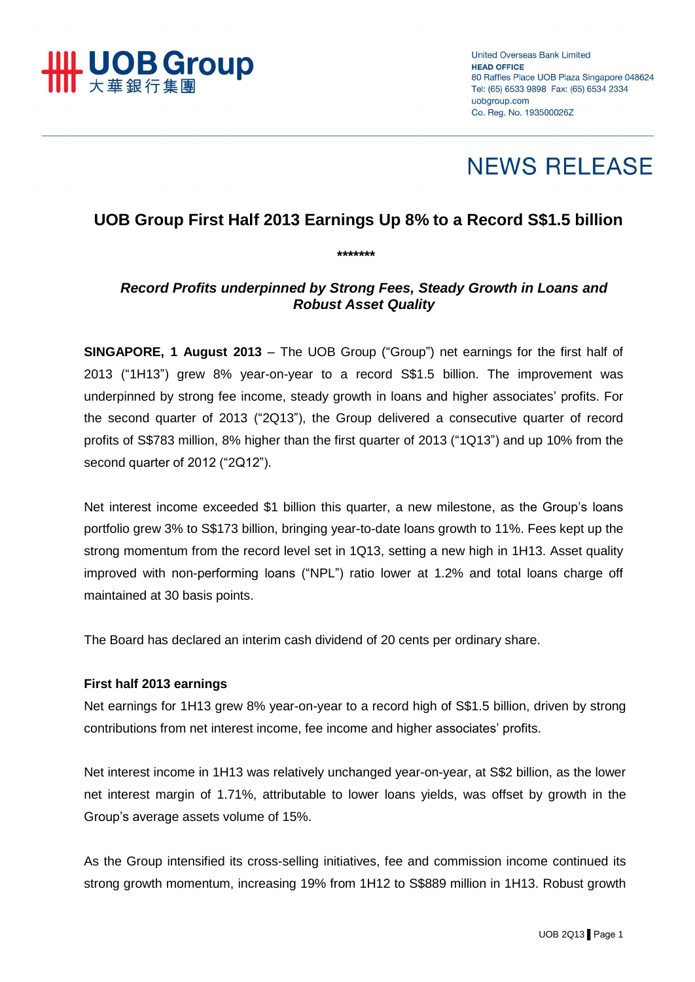

**United Overseas Bank Limited HEAD OFFICE** 80 Raffles Place UOB Plaza Singapore 048624 Tel: (65) 6533 9898 Fax: (65) 6534 2334 uobgroup.com Co. Reg. No. 193500026Z

# **NEWS RELEASE**

# **UOB Group First Half 2013 Earnings Up 8% to a Record S\$1.5 billion**

*\*\*\*\*\*\*\**

*Record Profits underpinned by Strong Fees, Steady Growth in Loans and Robust Asset Quality*

**SINGAPORE, 1 August 2013** – The UOB Group ("Group") net earnings for the first half of 2013 ("1H13") grew 8% year-on-year to a record S\$1.5 billion. The improvement was underpinned by strong fee income, steady growth in loans and higher associates' profits. For the second quarter of 2013 ("2Q13"), the Group delivered a consecutive quarter of record profits of S\$783 million, 8% higher than the first quarter of 2013 ("1Q13") and up 10% from the second quarter of 2012 ("2Q12").

Net interest income exceeded \$1 billion this quarter, a new milestone, as the Group's loans portfolio grew 3% to S\$173 billion, bringing year-to-date loans growth to 11%. Fees kept up the strong momentum from the record level set in 1Q13, setting a new high in 1H13. Asset quality improved with non-performing loans ("NPL") ratio lower at 1.2% and total loans charge off maintained at 30 basis points.

The Board has declared an interim cash dividend of 20 cents per ordinary share.

# **First half 2013 earnings**

Net earnings for 1H13 grew 8% year-on-year to a record high of S\$1.5 billion, driven by strong contributions from net interest income, fee income and higher associates' profits.

Net interest income in 1H13 was relatively unchanged year-on-year, at S\$2 billion, as the lower net interest margin of 1.71%, attributable to lower loans yields, was offset by growth in the Group's average assets volume of 15%.

As the Group intensified its cross-selling initiatives, fee and commission income continued its strong growth momentum, increasing 19% from 1H12 to S\$889 million in 1H13. Robust growth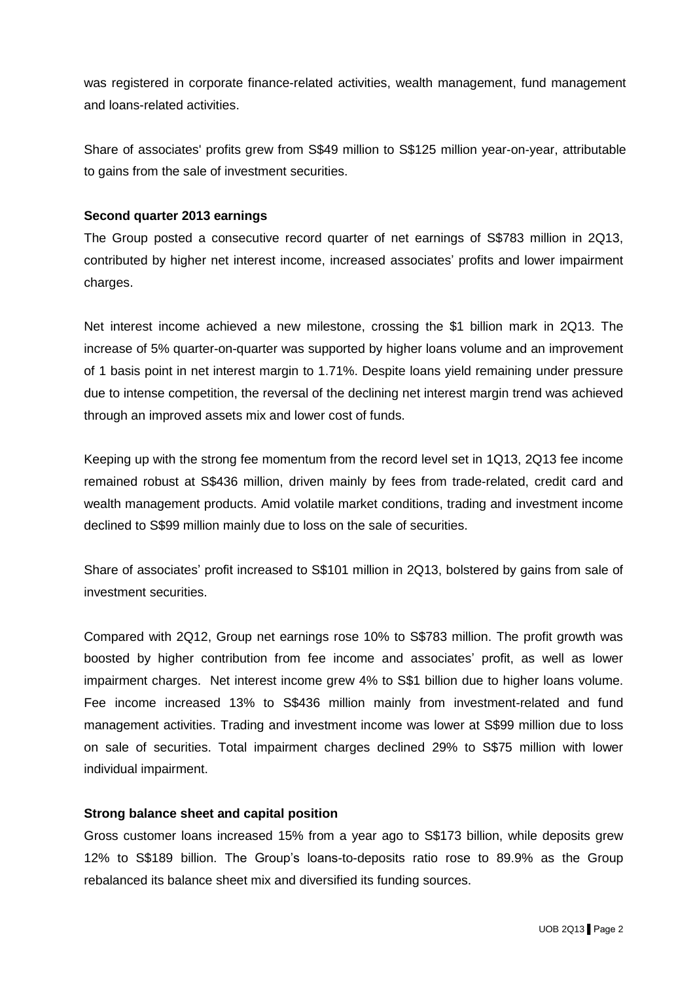was registered in corporate finance-related activities, wealth management, fund management and loans-related activities.

Share of associates' profits grew from S\$49 million to S\$125 million year-on-year, attributable to gains from the sale of investment securities.

#### **Second quarter 2013 earnings**

The Group posted a consecutive record quarter of net earnings of S\$783 million in 2Q13, contributed by higher net interest income, increased associates' profits and lower impairment charges.

Net interest income achieved a new milestone, crossing the \$1 billion mark in 2Q13. The increase of 5% quarter-on-quarter was supported by higher loans volume and an improvement of 1 basis point in net interest margin to 1.71%. Despite loans yield remaining under pressure due to intense competition, the reversal of the declining net interest margin trend was achieved through an improved assets mix and lower cost of funds.

Keeping up with the strong fee momentum from the record level set in 1Q13, 2Q13 fee income remained robust at S\$436 million, driven mainly by fees from trade-related, credit card and wealth management products. Amid volatile market conditions, trading and investment income declined to S\$99 million mainly due to loss on the sale of securities.

Share of associates' profit increased to S\$101 million in 2Q13, bolstered by gains from sale of investment securities.

Compared with 2Q12, Group net earnings rose 10% to S\$783 million. The profit growth was boosted by higher contribution from fee income and associates' profit, as well as lower impairment charges. Net interest income grew 4% to S\$1 billion due to higher loans volume. Fee income increased 13% to S\$436 million mainly from investment-related and fund management activities. Trading and investment income was lower at S\$99 million due to loss on sale of securities. Total impairment charges declined 29% to S\$75 million with lower individual impairment.

#### **Strong balance sheet and capital position**

Gross customer loans increased 15% from a year ago to S\$173 billion, while deposits grew 12% to S\$189 billion. The Group's loans-to-deposits ratio rose to 89.9% as the Group rebalanced its balance sheet mix and diversified its funding sources.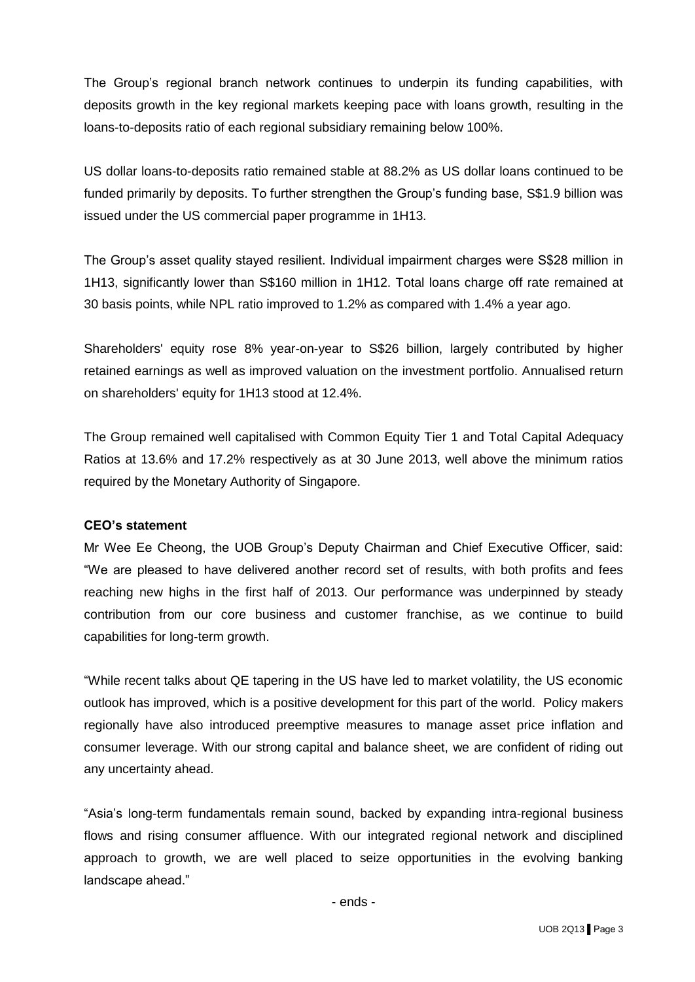The Group's regional branch network continues to underpin its funding capabilities, with deposits growth in the key regional markets keeping pace with loans growth, resulting in the loans-to-deposits ratio of each regional subsidiary remaining below 100%.

US dollar loans-to-deposits ratio remained stable at 88.2% as US dollar loans continued to be funded primarily by deposits. To further strengthen the Group's funding base, S\$1.9 billion was issued under the US commercial paper programme in 1H13.

The Group's asset quality stayed resilient. Individual impairment charges were S\$28 million in 1H13, significantly lower than S\$160 million in 1H12. Total loans charge off rate remained at 30 basis points, while NPL ratio improved to 1.2% as compared with 1.4% a year ago.

Shareholders' equity rose 8% year-on-year to S\$26 billion, largely contributed by higher retained earnings as well as improved valuation on the investment portfolio. Annualised return on shareholders' equity for 1H13 stood at 12.4%.

The Group remained well capitalised with Common Equity Tier 1 and Total Capital Adequacy Ratios at 13.6% and 17.2% respectively as at 30 June 2013, well above the minimum ratios required by the Monetary Authority of Singapore.

# **CEO's statement**

Mr Wee Ee Cheong, the UOB Group's Deputy Chairman and Chief Executive Officer, said: "We are pleased to have delivered another record set of results, with both profits and fees reaching new highs in the first half of 2013. Our performance was underpinned by steady contribution from our core business and customer franchise, as we continue to build capabilities for long-term growth.

"While recent talks about QE tapering in the US have led to market volatility, the US economic outlook has improved, which is a positive development for this part of the world. Policy makers regionally have also introduced preemptive measures to manage asset price inflation and consumer leverage. With our strong capital and balance sheet, we are confident of riding out any uncertainty ahead.

"Asia's long-term fundamentals remain sound, backed by expanding intra-regional business flows and rising consumer affluence. With our integrated regional network and disciplined approach to growth, we are well placed to seize opportunities in the evolving banking landscape ahead."

- ends -